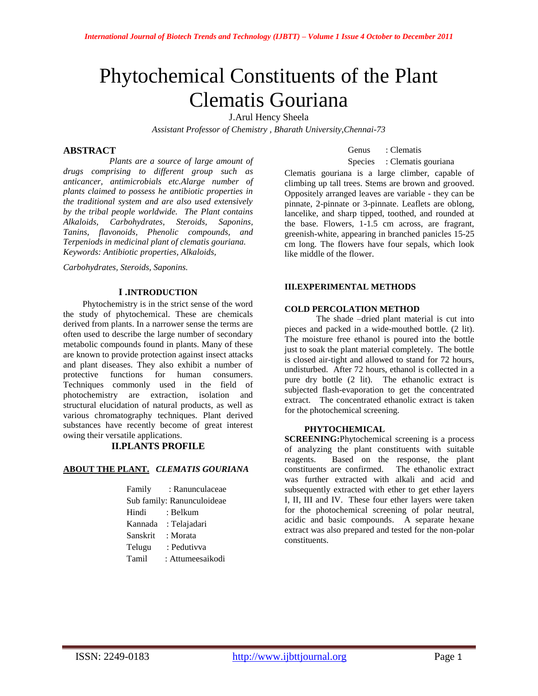# Phytochemical Constituents of the Plant Clematis Gouriana

J.Arul Hency Sheela

*Assistant Professor of Chemistry , Bharath University,Chennai-73*

# **ABSTRACT**

 *Plants are a source of large amount of drugs comprising to different group such as anticancer, antimicrobials etc.Alarge number of plants claimed to possess he antibiotic properties in the traditional system and are also used extensively by the tribal people worldwide. The Plant contains Alkaloids, Carbohydrates, Steroids, Saponins, Tanins, flavonoids, Phenolic compounds, and Terpeniods in medicinal plant of clematis gouriana. Keywords: Antibiotic properties, Alkaloids,*

*Carbohydrates, Steroids, Saponins.*

# **I .INTRODUCTION**

 Phytochemistry is in the strict sense of the word the study of phytochemical. These are chemicals derived from plants. In a narrower sense the terms are often used to describe the large number of secondary metabolic compounds found in plants. Many of these are known to provide protection against insect attacks and plant diseases. They also exhibit a number of protective functions for human consumers. Techniques commonly used in the field of photochemistry are extraction, isolation and structural elucidation of natural products, as well as various chromatography techniques. Plant derived substances have recently become of great interest owing their versatile applications.

# **II.PLANTS PROFILE**

# **ABOUT THE PLANT.** *CLEMATIS GOURIANA*

|                            | Family : Ranunculaceae |  |
|----------------------------|------------------------|--|
| Sub family: Ranunculoideae |                        |  |
| Hindi                      | : Belkum               |  |
|                            | Kannada : Telajadari   |  |
| Sanskrit                   | : Morata               |  |
| Telugu                     | : Pedutivva            |  |
| Tamil                      | : Attumeesaikodi       |  |

Genus : Clematis

### Species : Clematis gouriana

Clematis gouriana is a large climber, capable of climbing up tall trees. Stems are brown and grooved. Oppositely arranged leaves are variable - they can be pinnate, 2-pinnate or 3-pinnate. Leaflets are oblong, lancelike, and sharp tipped, toothed, and rounded at the base. Flowers, 1-1.5 cm across, are fragrant, greenish-white, appearing in branched panicles 15-25 cm long. The flowers have four sepals, which look like middle of the flower.

#### **III.EXPERIMENTAL METHODS**

# **COLD PERCOLATION METHOD**

The shade –dried plant material is cut into pieces and packed in a wide-mouthed bottle. (2 lit). The moisture free ethanol is poured into the bottle just to soak the plant material completely. The bottle is closed air-tight and allowed to stand for 72 hours, undisturbed. After 72 hours, ethanol is collected in a pure dry bottle (2 lit). The ethanolic extract is subjected flash-evaporation to get the concentrated extract. The concentrated ethanolic extract is taken for the photochemical screening.

# **PHYTOCHEMICAL**

**SCREENING:**Phytochemical screening is a process of analyzing the plant constituents with suitable reagents. Based on the response, the plant constituents are confirmed. The ethanolic extract was further extracted with alkali and acid and subsequently extracted with ether to get ether layers I, II, III and IV. These four ether layers were taken for the photochemical screening of polar neutral, acidic and basic compounds. A separate hexane extract was also prepared and tested for the non-polar constituents.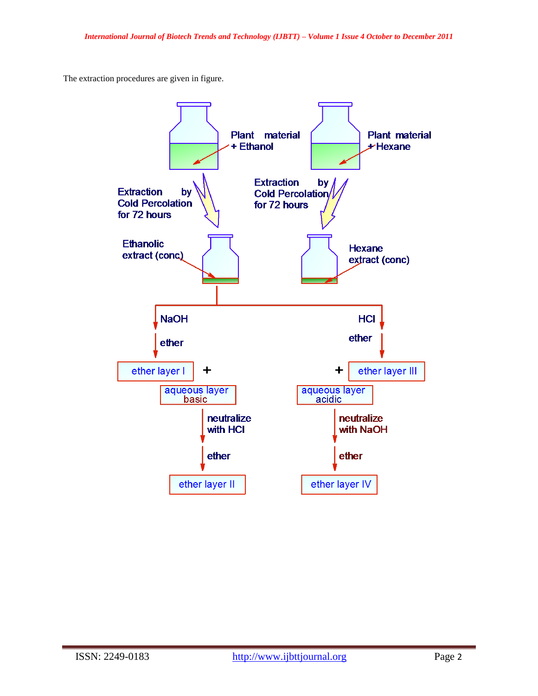The extraction procedures are given in figure.